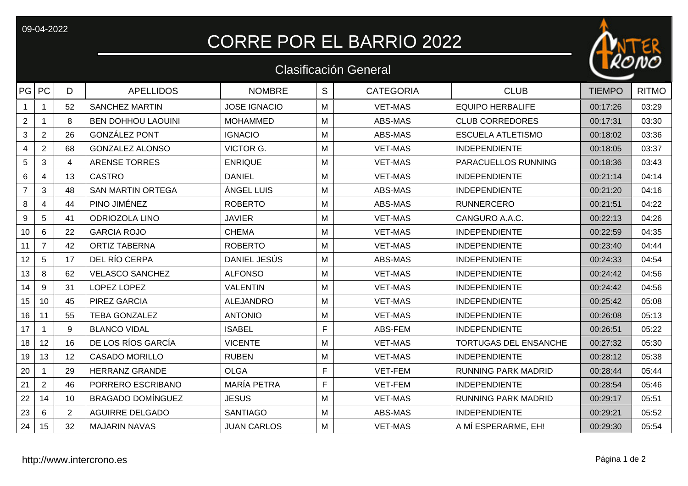09-04-2022

## CORRE POR EL BARRIO 2022

## Clasificación General



| PG PC          |                         | D              | <b>APELLIDOS</b>          | <b>NOMBRE</b>       | S | <b>CATEGORIA</b> | <b>CLUB</b>                  | <b>TIEMPO</b> | <b>RITMO</b> |
|----------------|-------------------------|----------------|---------------------------|---------------------|---|------------------|------------------------------|---------------|--------------|
|                | 1                       | 52             | <b>SANCHEZ MARTIN</b>     | <b>JOSE IGNACIO</b> | M | <b>VET-MAS</b>   | <b>EQUIPO HERBALIFE</b>      | 00:17:26      | 03:29        |
| $\overline{2}$ |                         | 8              | <b>BEN DOHHOU LAOUINI</b> | <b>MOHAMMED</b>     | M | ABS-MAS          | <b>CLUB CORREDORES</b>       | 00:17:31      | 03:30        |
| 3              | $\overline{2}$          | 26             | <b>GONZÁLEZ PONT</b>      | <b>IGNACIO</b>      | M | ABS-MAS          | <b>ESCUELA ATLETISMO</b>     | 00:18:02      | 03:36        |
| 4              | $\overline{2}$          | 68             | <b>GONZALEZ ALONSO</b>    | <b>VICTOR G.</b>    | M | <b>VET-MAS</b>   | <b>INDEPENDIENTE</b>         | 00:18:05      | 03:37        |
| $\overline{5}$ | 3                       | 4              | <b>ARENSE TORRES</b>      | <b>ENRIQUE</b>      | M | <b>VET-MAS</b>   | PARACUELLOS RUNNING          | 00:18:36      | 03:43        |
| 6              | 4                       | 13             | <b>CASTRO</b>             | <b>DANIEL</b>       | M | <b>VET-MAS</b>   | <b>INDEPENDIENTE</b>         | 00:21:14      | 04:14        |
| $\overline{7}$ | 3                       | 48             | <b>SAN MARTIN ORTEGA</b>  | ÁNGEL LUIS          | M | ABS-MAS          | <b>INDEPENDIENTE</b>         | 00:21:20      | 04:16        |
| 8              | $\overline{\mathbf{4}}$ | 44             | PINO JIMÉNEZ              | <b>ROBERTO</b>      | M | ABS-MAS          | <b>RUNNERCERO</b>            | 00:21:51      | 04:22        |
| 9              | 5                       | 41             | <b>ODRIOZOLA LINO</b>     | <b>JAVIER</b>       | M | <b>VET-MAS</b>   | CANGURO A.A.C.               | 00:22:13      | 04:26        |
| 10             | 6                       | 22             | <b>GARCIA ROJO</b>        | <b>CHEMA</b>        | M | <b>VET-MAS</b>   | <b>INDEPENDIENTE</b>         | 00:22:59      | 04:35        |
| 11             | $\overline{7}$          | 42             | <b>ORTIZ TABERNA</b>      | <b>ROBERTO</b>      | M | <b>VET-MAS</b>   | <b>INDEPENDIENTE</b>         | 00:23:40      | 04:44        |
| 12             | 5                       | 17             | DEL RÍO CERPA             | DANIEL JESÚS        | M | ABS-MAS          | <b>INDEPENDIENTE</b>         | 00:24:33      | 04:54        |
| 13             | 8                       | 62             | <b>VELASCO SANCHEZ</b>    | <b>ALFONSO</b>      | M | <b>VET-MAS</b>   | <b>INDEPENDIENTE</b>         | 00:24:42      | 04:56        |
| 14             | 9                       | 31             | LOPEZ LOPEZ               | <b>VALENTIN</b>     | M | <b>VET-MAS</b>   | <b>INDEPENDIENTE</b>         | 00:24:42      | 04:56        |
| 15             | 10                      | 45             | PIREZ GARCIA              | <b>ALEJANDRO</b>    | M | <b>VET-MAS</b>   | <b>INDEPENDIENTE</b>         | 00:25:42      | 05:08        |
| 16             | 11                      | 55             | <b>TEBA GONZALEZ</b>      | <b>ANTONIO</b>      | M | <b>VET-MAS</b>   | <b>INDEPENDIENTE</b>         | 00:26:08      | 05:13        |
| 17             |                         | 9              | <b>BLANCO VIDAL</b>       | <b>ISABEL</b>       | F | ABS-FEM          | <b>INDEPENDIENTE</b>         | 00:26:51      | 05:22        |
| 18             | 12                      | 16             | DE LOS RÍOS GARCÍA        | <b>VICENTE</b>      | M | <b>VET-MAS</b>   | <b>TORTUGAS DEL ENSANCHE</b> | 00:27:32      | 05:30        |
| 19             | 13                      | 12             | <b>CASADO MORILLO</b>     | <b>RUBEN</b>        | M | <b>VET-MAS</b>   | <b>INDEPENDIENTE</b>         | 00:28:12      | 05:38        |
| 20             |                         | 29             | <b>HERRANZ GRANDE</b>     | <b>OLGA</b>         | F | <b>VET-FEM</b>   | <b>RUNNING PARK MADRID</b>   | 00:28:44      | 05:44        |
| 21             | $\overline{2}$          | 46             | PORRERO ESCRIBANO         | MARÍA PETRA         | F | <b>VET-FEM</b>   | <b>INDEPENDIENTE</b>         | 00:28:54      | 05:46        |
| 22             | 14                      | 10             | <b>BRAGADO DOMÍNGUEZ</b>  | <b>JESUS</b>        | M | <b>VET-MAS</b>   | <b>RUNNING PARK MADRID</b>   | 00:29:17      | 05:51        |
| 23             | 6                       | $\overline{2}$ | <b>AGUIRRE DELGADO</b>    | <b>SANTIAGO</b>     | M | ABS-MAS          | <b>INDEPENDIENTE</b>         | 00:29:21      | 05:52        |
| 24             | 15                      | 32             | <b>MAJARIN NAVAS</b>      | <b>JUAN CARLOS</b>  | м | <b>VET-MAS</b>   | A MÍ ESPERARME, EH!          | 00:29:30      | 05:54        |